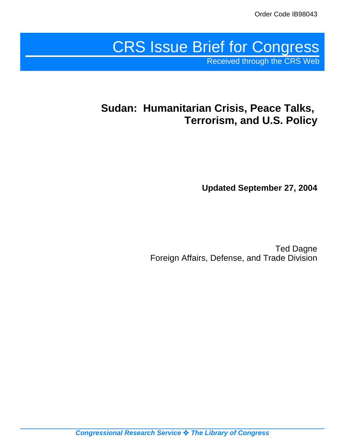# CRS Issue Brief for Congress Received through the CRS Web

# **Sudan: Humanitarian Crisis, Peace Talks, Terrorism, and U.S. Policy**

**Updated September 27, 2004**

Ted Dagne Foreign Affairs, Defense, and Trade Division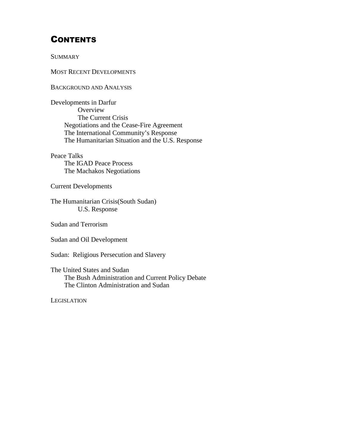# **CONTENTS**

**SUMMARY** 

MOST RECENT DEVELOPMENTS

BACKGROUND AND ANALYSIS

Developments in Darfur **Overview** The Current Crisis Negotiations and the Cease-Fire Agreement The International Community's Response The Humanitarian Situation and the U.S. Response

Peace Talks The IGAD Peace Process The Machakos Negotiations

Current Developments

The Humanitarian Crisis(South Sudan) U.S. Response

Sudan and Terrorism

Sudan and Oil Development

Sudan: Religious Persecution and Slavery

The United States and Sudan The Bush Administration and Current Policy Debate The Clinton Administration and Sudan

**LEGISLATION**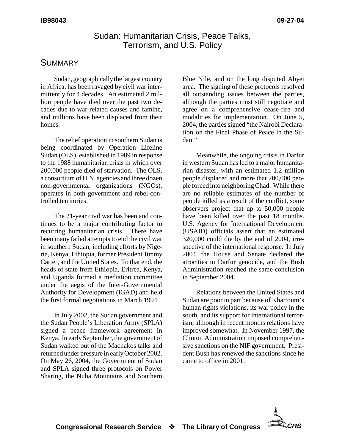## Sudan: Humanitarian Crisis, Peace Talks, Terrorism, and U.S. Policy

## **SUMMARY**

Sudan, geographically the largest country in Africa, has been ravaged by civil war intermittently for 4 decades. An estimated 2 million people have died over the past two decades due to war-related causes and famine, and millions have been displaced from their homes.

The relief operation in southern Sudan is being coordinated by Operation Lifeline Sudan (OLS), established in 1989 in response to the 1988 humanitarian crisis in which over 200,000 people died of starvation. The OLS, a consortium of U.N. agencies and three dozen non-governmental organizations (NGOs), operates in both government and rebel-controlled territories.

The 21-year civil war has been and continues to be a major contributing factor to recurring humanitarian crisis. There have been many failed attempts to end the civil war in southern Sudan, including efforts by Nigeria, Kenya, Ethiopia, former President Jimmy Carter, and the United States. To that end, the heads of state from Ethiopia, Eritrea, Kenya, and Uganda formed a mediation committee under the aegis of the Inter-Governmental Authority for Development (IGAD) and held the first formal negotiations in March 1994.

In July 2002, the Sudan government and the Sudan People's Liberation Army (SPLA) signed a peace framework agreement in Kenya. In early September, the government of Sudan walked out of the Machakos talks and returned under pressure in early October 2002. On May 26, 2004, the Government of Sudan and SPLA signed three protocols on Power Sharing, the Nuba Mountains and Southern

Blue Nile, and on the long disputed Abyei area. The signing of these protocols resolved all outstanding issues between the parties, although the parties must still negotiate and agree on a comprehensive cease-fire and modalities for implementation. On June 5, 2004, the parties signed "the Nairobi Declaration on the Final Phase of Peace in the Sudan."

Meanwhile, the ongoing crisis in Darfur in western Sudan has led to a major humanitarian disaster, with an estimated 1.2 million people displaced and more that 200,000 people forced into neighboring Chad. While there are no reliable estimates of the number of people killed as a result of the conflict, some observers project that up to 50,000 people have been killed over the past 18 months. U.S. Agency for International Development (USAID) officials assert that an estimated 320,000 could die by the end of 2004, irrespective of the international response. In July 2004, the House and Senate declared the atrocities in Darfur genocide, and the Bush Administration reached the same conclusion in September 2004.

Relations between the United States and Sudan are poor in part because of Khartoum's human rights violations, its war policy in the south, and its support for international terrorism, although in recent months relations have improved somewhat. In November 1997, the Clinton Administration imposed comprehensive sanctions on the NIF government. President Bush has renewed the sanctions since he came to office in 2001.

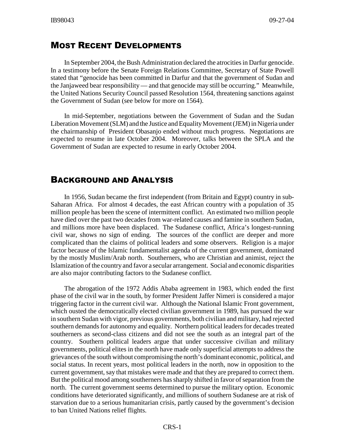# MOST RECENT DEVELOPMENTS

In September 2004, the Bush Administration declared the atrocities in Darfur genocide. In a testimony before the Senate Foreign Relations Committee, Secretary of State Powell stated that "genocide has been committed in Darfur and that the government of Sudan and the Janjaweed bear responsibility — and that genocide may still be occurring." Meanwhile, the United Nations Security Council passed Resolution 1564, threatening sanctions against the Government of Sudan (see below for more on 1564).

In mid-September, negotiations between the Government of Sudan and the Sudan Liberation Movement (SLM) and the Justice and Equality Movement (JEM) in Nigeria under the chairmanship of President Obasanjo ended without much progress. Negotiations are expected to resume in late October 2004. Moreover, talks between the SPLA and the Government of Sudan are expected to resume in early October 2004.

# BACKGROUND AND ANALYSIS

In 1956, Sudan became the first independent (from Britain and Egypt) country in sub-Saharan Africa. For almost 4 decades, the east African country with a population of 35 million people has been the scene of intermittent conflict. An estimated two million people have died over the past two decades from war-related causes and famine in southern Sudan, and millions more have been displaced. The Sudanese conflict, Africa's longest-running civil war, shows no sign of ending. The sources of the conflict are deeper and more complicated than the claims of political leaders and some observers. Religion is a major factor because of the Islamic fundamentalist agenda of the current government, dominated by the mostly Muslim/Arab north. Southerners, who are Christian and animist, reject the Islamization of the country and favor a secular arrangement. Social and economic disparities are also major contributing factors to the Sudanese conflict.

The abrogation of the 1972 Addis Ababa agreement in 1983, which ended the first phase of the civil war in the south, by former President Jaffer Nimeri is considered a major triggering factor in the current civil war. Although the National Islamic Front government, which ousted the democratically elected civilian government in 1989, has pursued the war in southern Sudan with vigor, previous governments, both civilian and military, had rejected southern demands for autonomy and equality. Northern political leaders for decades treated southerners as second-class citizens and did not see the south as an integral part of the country. Southern political leaders argue that under successive civilian and military governments, political elites in the north have made only superficial attempts to address the grievances of the south without compromising the north's dominant economic, political, and social status. In recent years, most political leaders in the north, now in opposition to the current government, say that mistakes were made and that they are prepared to correct them. But the political mood among southerners has sharply shifted in favor of separation from the north. The current government seems determined to pursue the military option. Economic conditions have deteriorated significantly, and millions of southern Sudanese are at risk of starvation due to a serious humanitarian crisis, partly caused by the government's decision to ban United Nations relief flights.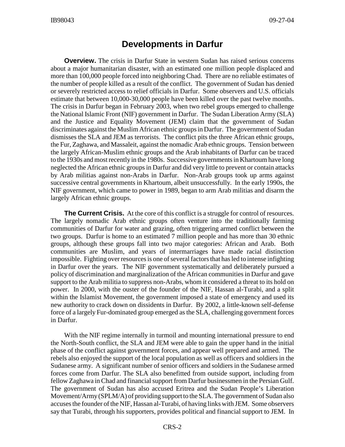# **Developments in Darfur**

**Overview.** The crisis in Darfur State in western Sudan has raised serious concerns about a major humanitarian disaster, with an estimated one million people displaced and more than 100,000 people forced into neighboring Chad. There are no reliable estimates of the number of people killed as a result of the conflict. The government of Sudan has denied or severely restricted access to relief officials in Darfur. Some observers and U.S. officials estimate that between 10,000-30,000 people have been killed over the past twelve months. The crisis in Darfur began in February 2003, when two rebel groups emerged to challenge the National Islamic Front (NIF) government in Darfur. The Sudan Liberation Army (SLA) and the Justice and Equality Movement (JEM) claim that the government of Sudan discriminates against the Muslim African ethnic groups in Darfur. The government of Sudan dismisses the SLA and JEM as terrorists. The conflict pits the three African ethnic groups, the Fur, Zaghawa, and Massaleit, against the nomadic Arab ethnic groups. Tension between the largely African-Muslim ethnic groups and the Arab inhabitants of Darfur can be traced to the 1930s and most recently in the 1980s. Successive governments in Khartoum have long neglected the African ethnic groups in Darfur and did very little to prevent or contain attacks by Arab militias against non-Arabs in Darfur. Non-Arab groups took up arms against successive central governments in Khartoum, albeit unsuccessfully. In the early 1990s, the NIF government, which came to power in 1989, began to arm Arab militias and disarm the largely African ethnic groups.

**The Current Crisis.** At the core of this conflict is a struggle for control of resources. The largely nomadic Arab ethnic groups often venture into the traditionally farming communities of Darfur for water and grazing, often triggering armed conflict between the two groups. Darfur is home to an estimated 7 million people and has more than 30 ethnic groups, although these groups fall into two major categories: African and Arab. Both communities are Muslim, and years of intermarriages have made racial distinction impossible. Fighting over resources is one of several factors that has led to intense infighting in Darfur over the years. The NIF government systematically and deliberately pursued a policy of discrimination and marginalization of the African communities in Darfur and gave support to the Arab militia to suppress non-Arabs, whom it considered a threat to its hold on power. In 2000, with the ouster of the founder of the NIF, Hassan al-Turabi, and a split within the Islamist Movement, the government imposed a state of emergency and used its new authority to crack down on dissidents in Darfur. By 2002, a little-known self-defense force of a largely Fur-dominated group emerged as the SLA, challenging government forces in Darfur.

With the NIF regime internally in turmoil and mounting international pressure to end the North-South conflict, the SLA and JEM were able to gain the upper hand in the initial phase of the conflict against government forces, and appear well prepared and armed. The rebels also enjoyed the support of the local population as well as officers and soldiers in the Sudanese army. A significant number of senior officers and soldiers in the Sudanese armed forces come from Darfur. The SLA also benefitted from outside support, including from fellow Zaghawa in Chad and financial support from Darfur businessmen in the Persian Gulf. The government of Sudan has also accused Eritrea and the Sudan People's Liberation Movement/Army (SPLM/A) of providing support to the SLA. The government of Sudan also accuses the founder of the NIF, Hassan al-Turabi, of having links with JEM. Some observers say that Turabi, through his supporters, provides political and financial support to JEM. In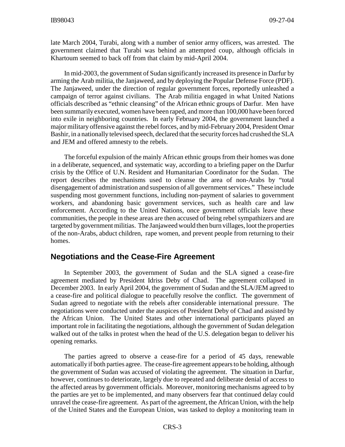late March 2004, Turabi, along with a number of senior army officers, was arrested. The government claimed that Turabi was behind an attempted coup, although officials in Khartoum seemed to back off from that claim by mid-April 2004.

In mid-2003, the government of Sudan significantly increased its presence in Darfur by arming the Arab militia, the Janjaweed, and by deploying the Popular Defense Force (PDF). The Janjaweed, under the direction of regular government forces, reportedly unleashed a campaign of terror against civilians. The Arab militia engaged in what United Nations officials described as "ethnic cleansing" of the African ethnic groups of Darfur. Men have been summarily executed, women have been raped, and more than 100,000 have been forced into exile in neighboring countries. In early February 2004, the government launched a major military offensive against the rebel forces, and by mid-February 2004, President Omar Bashir, in a nationally televised speech, declared that the security forces had crushed the SLA and JEM and offered amnesty to the rebels.

The forceful expulsion of the mainly African ethnic groups from their homes was done in a deliberate, sequenced, and systematic way, according to a briefing paper on the Darfur crisis by the Office of U.N. Resident and Humanitarian Coordinator for the Sudan. The report describes the mechanisms used to cleanse the area of non-Arabs by "total disengagement of administration and suspension of all government services." These include suspending most government functions, including non-payment of salaries to government workers, and abandoning basic government services, such as health care and law enforcement. According to the United Nations, once government officials leave these communities, the people in these areas are then accused of being rebel sympathizers and are targeted by government militias. The Janjaweed would then burn villages, loot the properties of the non-Arabs, abduct children, rape women, and prevent people from returning to their homes.

### **Negotiations and the Cease-Fire Agreement**

In September 2003, the government of Sudan and the SLA signed a cease-fire agreement mediated by President Idriss Deby of Chad. The agreement collapsed in December 2003. In early April 2004, the government of Sudan and the SLA/JEM agreed to a cease-fire and political dialogue to peacefully resolve the conflict. The government of Sudan agreed to negotiate with the rebels after considerable international pressure. The negotiations were conducted under the auspices of President Deby of Chad and assisted by the African Union. The United States and other international participants played an important role in facilitating the negotiations, although the government of Sudan delegation walked out of the talks in protest when the head of the U.S. delegation began to deliver his opening remarks.

The parties agreed to observe a cease-fire for a period of 45 days, renewable automatically if both parties agree. The cease-fire agreement appears to be holding, although the government of Sudan was accused of violating the agreement. The situation in Darfur, however, continues to deteriorate, largely due to repeated and deliberate denial of access to the affected areas by government officials. Moreover, monitoring mechanisms agreed to by the parties are yet to be implemented, and many observers fear that continued delay could unravel the cease-fire agreement. As part of the agreement, the African Union, with the help of the United States and the European Union, was tasked to deploy a monitoring team in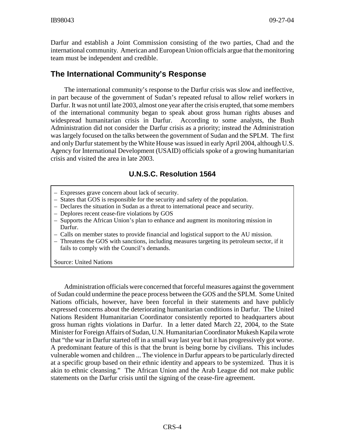Darfur and establish a Joint Commission consisting of the two parties, Chad and the international community. American and European Union officials argue that the monitoring team must be independent and credible.

# **The International Community's Response**

The international community's response to the Darfur crisis was slow and ineffective, in part because of the government of Sudan's repeated refusal to allow relief workers in Darfur. It was not until late 2003, almost one year after the crisis erupted, that some members of the international community began to speak about gross human rights abuses and widespread humanitarian crisis in Darfur. According to some analysts, the Bush Administration did not consider the Darfur crisis as a priority; instead the Administration was largely focused on the talks between the government of Sudan and the SPLM. The first and only Darfur statement by the White House was issued in early April 2004, although U.S. Agency for International Development (USAID) officials spoke of a growing humanitarian crisis and visited the area in late 2003.

### **U.N.S.C. Resolution 1564**

- Expresses grave concern about lack of security.
- States that GOS is responsible for the security and safety of the population.
- Declares the situation in Sudan as a threat to international peace and security.
- Deplores recent cease-fire violations by GOS
- Supports the African Union's plan to enhance and augment its monitoring mission in Darfur.
- Calls on member states to provide financial and logistical support to the AU mission.
- Threatens the GOS with sanctions, including measures targeting its petroleum sector, if it fails to comply with the Council's demands.

Source: United Nations

Administration officials were concerned that forceful measures against the government of Sudan could undermine the peace process between the GOS and the SPLM. Some United Nations officials, however, have been forceful in their statements and have publicly expressed concerns about the deteriorating humanitarian conditions in Darfur. The United Nations Resident Humanitarian Coordinator consistently reported to headquarters about gross human rights violations in Darfur. In a letter dated March 22, 2004, to the State Minister for Foreign Affairs of Sudan, U.N. Humanitarian Coordinator Mukesh Kapila wrote that "the war in Darfur started off in a small way last year but it has progressively got worse. A predominant feature of this is that the brunt is being borne by civilians. This includes vulnerable women and children ... The violence in Darfur appears to be particularly directed at a specific group based on their ethnic identity and appears to be systemized. Thus it is akin to ethnic cleansing." The African Union and the Arab League did not make public statements on the Darfur crisis until the signing of the cease-fire agreement.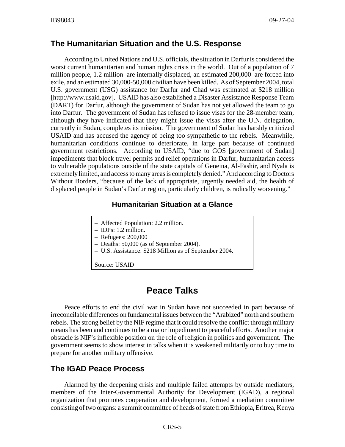### **The Humanitarian Situation and the U.S. Response**

According to United Nations and U.S. officials, the situation in Darfur is considered the worst current humanitarian and human rights crisis in the world. Out of a population of 7 million people, 1.2 million are internally displaced, an estimated 200,000 are forced into exile, and an estimated 30,000-50,000 civilian have been killed. As of September 2004, total U.S. government (USG) assistance for Darfur and Chad was estimated at \$218 million [http://www.usaid.gov]. USAID has also established a Disaster Assistance Response Team (DART) for Darfur, although the government of Sudan has not yet allowed the team to go into Darfur. The government of Sudan has refused to issue visas for the 28-member team, although they have indicated that they might issue the visas after the U.N. delegation, currently in Sudan, completes its mission. The government of Sudan has harshly criticized USAID and has accused the agency of being too sympathetic to the rebels. Meanwhile, humanitarian conditions continue to deteriorate, in large part because of continued government restrictions. According to USAID, "due to GOS [government of Sudan] impediments that block travel permits and relief operations in Darfur, humanitarian access to vulnerable populations outside of the state capitals of Geneina, Al-Fashir, and Nyala is extremely limited, and access to many areas is completely denied." And according to Doctors Without Borders, "because of the lack of appropriate, urgently needed aid, the health of displaced people in Sudan's Darfur region, particularly children, is radically worsening."

### **Humanitarian Situation at a Glance**

- Affected Population: 2.2 million.
- IDPs: 1.2 million.
- Refugees: 200,000
- Deaths: 50,000 (as of September 2004).
- U.S. Assistance: \$218 Million as of September 2004.

Source: USAID

# **Peace Talks**

Peace efforts to end the civil war in Sudan have not succeeded in part because of irreconcilable differences on fundamental issues between the "Arabized" north and southern rebels. The strong belief by the NIF regime that it could resolve the conflict through military means has been and continues to be a major impediment to peaceful efforts. Another major obstacle is NIF's inflexible position on the role of religion in politics and government. The government seems to show interest in talks when it is weakened militarily or to buy time to prepare for another military offensive.

### **The IGAD Peace Process**

Alarmed by the deepening crisis and multiple failed attempts by outside mediators, members of the Inter-Governmental Authority for Development (IGAD), a regional organization that promotes cooperation and development, formed a mediation committee consisting of two organs: a summit committee of heads of state from Ethiopia, Eritrea, Kenya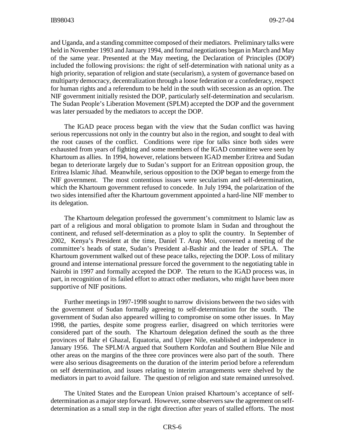and Uganda, and a standing committee composed of their mediators. Preliminary talks were held in November 1993 and January 1994, and formal negotiations began in March and May of the same year. Presented at the May meeting, the Declaration of Principles (DOP) included the following provisions: the right of self-determination with national unity as a high priority, separation of religion and state (secularism), a system of governance based on multiparty democracy, decentralization through a loose federation or a confederacy, respect for human rights and a referendum to be held in the south with secession as an option. The NIF government initially resisted the DOP, particularly self-determination and secularism. The Sudan People's Liberation Movement (SPLM) accepted the DOP and the government was later persuaded by the mediators to accept the DOP.

The IGAD peace process began with the view that the Sudan conflict was having serious repercussions not only in the country but also in the region, and sought to deal with the root causes of the conflict. Conditions were ripe for talks since both sides were exhausted from years of fighting and some members of the IGAD committee were seen by Khartoum as allies. In 1994, however, relations between IGAD member Eritrea and Sudan began to deteriorate largely due to Sudan's support for an Eritrean opposition group, the Eritrea Islamic Jihad. Meanwhile, serious opposition to the DOP began to emerge from the NIF government. The most contentious issues were secularism and self-determination, which the Khartoum government refused to concede. In July 1994, the polarization of the two sides intensified after the Khartoum government appointed a hard-line NIF member to its delegation.

The Khartoum delegation professed the government's commitment to Islamic law as part of a religious and moral obligation to promote Islam in Sudan and throughout the continent, and refused self-determination as a ploy to split the country. In September of 2002, Kenya's President at the time, Daniel T. Arap Moi, convened a meeting of the committee's heads of state, Sudan's President al-Bashir and the leader of SPLA. The Khartoum government walked out of these peace talks, rejecting the DOP. Loss of military ground and intense international pressure forced the government to the negotiating table in Nairobi in 1997 and formally accepted the DOP. The return to the IGAD process was, in part, in recognition of its failed effort to attract other mediators, who might have been more supportive of NIF positions.

Further meetings in 1997-1998 sought to narrow divisions between the two sides with the government of Sudan formally agreeing to self-determination for the south. The government of Sudan also appeared willing to compromise on some other issues. In May 1998, the parties, despite some progress earlier, disagreed on which territories were considered part of the south. The Khartoum delegation defined the south as the three provinces of Bahr el Ghazal, Equatoria, and Upper Nile, established at independence in January 1956. The SPLM/A argued that Southern Kordofan and Southern Blue Nile and other areas on the margins of the three core provinces were also part of the south. There were also serious disagreements on the duration of the interim period before a referendum on self determination, and issues relating to interim arrangements were shelved by the mediators in part to avoid failure. The question of religion and state remained unresolved.

The United States and the European Union praised Khartoum's acceptance of selfdetermination as a major step forward. However, some observers saw the agreement on selfdetermination as a small step in the right direction after years of stalled efforts. The most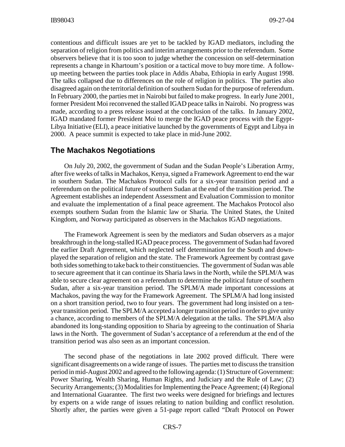contentious and difficult issues are yet to be tackled by IGAD mediators, including the separation of religion from politics and interim arrangements prior to the referendum. Some observers believe that it is too soon to judge whether the concession on self-determination represents a change in Khartoum's position or a tactical move to buy more time. A followup meeting between the parties took place in Addis Ababa, Ethiopia in early August 1998. The talks collapsed due to differences on the role of religion in politics. The parties also disagreed again on the territorial definition of southern Sudan for the purpose of referendum. In February 2000, the parties met in Nairobi but failed to make progress. In early June 2001, former President Moi reconvened the stalled IGAD peace talks in Nairobi. No progress was made, according to a press release issued at the conclusion of the talks. In January 2002, IGAD mandated former President Moi to merge the IGAD peace process with the Egypt-Libya Initiative (ELI), a peace initiative launched by the governments of Egypt and Libya in 2000. A peace summit is expected to take place in mid-June 2002.

### **The Machakos Negotiations**

On July 20, 2002, the government of Sudan and the Sudan People's Liberation Army, after five weeks of talks in Machakos, Kenya, signed a Framework Agreement to end the war in southern Sudan. The Machakos Protocol calls for a six-year transition period and a referendum on the political future of southern Sudan at the end of the transition period. The Agreement establishes an independent Assessment and Evaluation Commission to monitor and evaluate the implementation of a final peace agreement. The Machakos Protocol also exempts southern Sudan from the Islamic law or Sharia. The United States, the United Kingdom, and Norway participated as observers in the Machakos IGAD negotiations.

The Framework Agreement is seen by the mediators and Sudan observers as a major breakthrough in the long-stalled IGAD peace process. The government of Sudan had favored the earlier Draft Agreement, which neglected self determination for the South and downplayed the separation of religion and the state. The Framework Agreement by contrast gave both sides something to take back to their constituencies. The government of Sudan was able to secure agreement that it can continue its Sharia laws in the North, while the SPLM/A was able to secure clear agreement on a referendum to determine the political future of southern Sudan, after a six-year transition period. The SPLM/A made important concessions at Machakos, paving the way for the Framework Agreement. The SPLM/A had long insisted on a short transition period, two to four years. The government had long insisted on a tenyear transition period. The SPLM/A accepted a longer transition period in order to give unity a chance, according to members of the SPLM/A delegation at the talks. The SPLM/A also abandoned its long-standing opposition to Sharia by agreeing to the continuation of Sharia laws in the North. The government of Sudan's acceptance of a referendum at the end of the transition period was also seen as an important concession.

The second phase of the negotiations in late 2002 proved difficult. There were significant disagreements on a wide range of issues. The parties met to discuss the transition period in mid-August 2002 and agreed to the following agenda: (1) Structure of Government: Power Sharing, Wealth Sharing, Human Rights, and Judiciary and the Rule of Law; (2) Security Arrangements; (3) Modalities for Implementing the Peace Agreement; (4) Regional and International Guarantee. The first two weeks were designed for briefings and lectures by experts on a wide range of issues relating to nation building and conflict resolution. Shortly after, the parties were given a 51-page report called "Draft Protocol on Power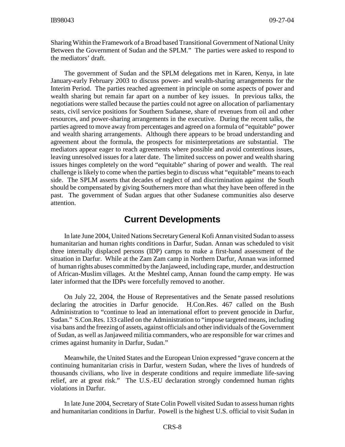Sharing Within the Framework of a Broad based Transitional Government of National Unity Between the Government of Sudan and the SPLM." The parties were asked to respond to the mediators' draft.

The government of Sudan and the SPLM delegations met in Karen, Kenya, in late January-early February 2003 to discuss power- and wealth-sharing arrangements for the Interim Period. The parties reached agreement in principle on some aspects of power and wealth sharing but remain far apart on a number of key issues. In previous talks, the negotiations were stalled because the parties could not agree on allocation of parliamentary seats, civil service positions for Southern Sudanese, share of revenues from oil and other resources, and power-sharing arrangements in the executive. During the recent talks, the parties agreed to move away from percentages and agreed on a formula of "equitable" power and wealth sharing arrangements. Although there appears to be broad understanding and agreement about the formula, the prospects for misinterpretations are substantial. The mediators appear eager to reach agreements where possible and avoid contentious issues, leaving unresolved issues for a later date. The limited success on power and wealth sharing issues hinges completely on the word "equitable" sharing of power and wealth. The real challenge is likely to come when the parties begin to discuss what "equitable" means to each side. The SPLM asserts that decades of neglect of and discrimination against the South should be compensated by giving Southerners more than what they have been offered in the past. The government of Sudan argues that other Sudanese communities also deserve attention.

## **Current Developments**

In late June 2004, United Nations Secretary General Kofi Annan visited Sudan to assess humanitarian and human rights conditions in Darfur, Sudan. Annan was scheduled to visit three internally displaced persons (IDP) camps to make a first-hand assessment of the situation in Darfur. While at the Zam Zam camp in Northern Darfur, Annan was informed of human rights abuses committed by the Janjaweed, including rape, murder, and destruction of African-Muslim villages. At the Meshtel camp, Annan found the camp empty. He was later informed that the IDPs were forcefully removed to another.

On July 22, 2004, the House of Representatives and the Senate passed resolutions declaring the atrocities in Darfur genocide. H.Con.Res. 467 called on the Bush Administration to "continue to lead an international effort to prevent genocide in Darfur, Sudan." S.Con.Res. 133 called on the Administration to "impose targeted means, including visa bans and the freezing of assets, against officials and other individuals of the Government of Sudan, as well as Janjaweed militia commanders, who are responsible for war crimes and crimes against humanity in Darfur, Sudan."

Meanwhile, the United States and the European Union expressed "grave concern at the continuing humanitarian crisis in Darfur, western Sudan, where the lives of hundreds of thousands civilians, who live in desperate conditions and require immediate life-saving relief, are at great risk." The U.S.-EU declaration strongly condemned human rights violations in Darfur.

In late June 2004, Secretary of State Colin Powell visited Sudan to assess human rights and humanitarian conditions in Darfur. Powell is the highest U.S. official to visit Sudan in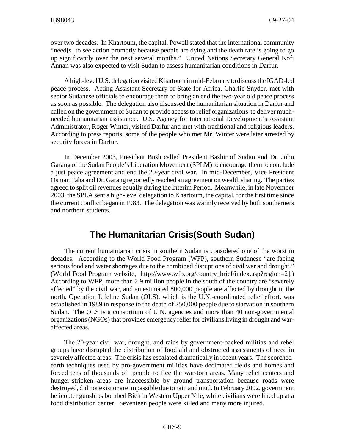over two decades. In Khartoum, the capital, Powell stated that the international community "need[s] to see action promptly because people are dying and the death rate is going to go up significantly over the next several months." United Nations Secretary General Kofi Annan was also expected to visit Sudan to assess humanitarian conditions in Darfur.

A high-level U.S. delegation visited Khartoum in mid-February to discuss the IGAD-led peace process. Acting Assistant Secretary of State for Africa, Charlie Snyder, met with senior Sudanese officials to encourage them to bring an end the two-year old peace process as soon as possible. The delegation also discussed the humanitarian situation in Darfur and called on the government of Sudan to provide access to relief organizations to deliver muchneeded humanitarian assistance. U.S. Agency for International Development's Assistant Administrator, Roger Winter, visited Darfur and met with traditional and religious leaders. According to press reports, some of the people who met Mr. Winter were later arrested by security forces in Darfur.

In December 2003, President Bush called President Bashir of Sudan and Dr. John Garang of the Sudan People's Liberation Movement (SPLM) to encourage them to conclude a just peace agreement and end the 20-year civil war. In mid-December, Vice President Osman Taha and Dr. Garang reportedly reached an agreement on wealth sharing. The parties agreed to split oil revenues equally during the Interim Period. Meanwhile, in late November 2003, the SPLA sent a high-level delegation to Khartoum, the capital, for the first time since the current conflict began in 1983. The delegation was warmly received by both southerners and northern students.

# **The Humanitarian Crisis(South Sudan)**

The current humanitarian crisis in southern Sudan is considered one of the worst in decades. According to the World Food Program (WFP), southern Sudanese "are facing serious food and water shortages due to the combined disruptions of civil war and drought." (World Food Program website, [http://www.wfp.org/country\_brief/index.asp?region=2].) According to WFP, more than 2.9 million people in the south of the country are "severely affected" by the civil war, and an estimated 800,000 people are affected by drought in the north. Operation Lifeline Sudan (OLS), which is the U.N.-coordinated relief effort, was established in 1989 in response to the death of 250,000 people due to starvation in southern Sudan. The OLS is a consortium of U.N. agencies and more than 40 non-governmental organizations (NGOs) that provides emergency relief for civilians living in drought and waraffected areas.

The 20-year civil war, drought, and raids by government-backed militias and rebel groups have disrupted the distribution of food aid and obstructed assessments of need in severely affected areas. The crisis has escalated dramatically in recent years. The scorchedearth techniques used by pro-government militias have decimated fields and homes and forced tens of thousands of people to flee the war-torn areas. Many relief centers and hunger-stricken areas are inaccessible by ground transportation because roads were destroyed, did not exist or are impassible due to rain and mud. In February 2002, government helicopter gunships bombed Bieh in Western Upper Nile, while civilians were lined up at a food distribution center. Seventeen people were killed and many more injured.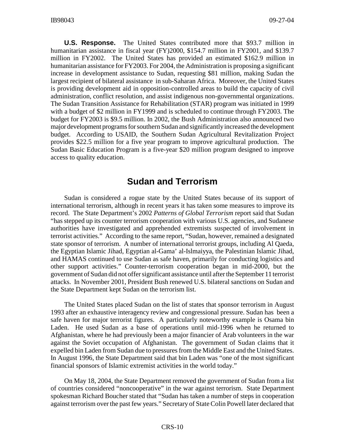**U.S. Response.** The United States contributed more that \$93.7 million in humanitarian assistance in fiscal year (FY)2000, \$154.7 million in FY2001, and \$139.7 million in FY2002. The United States has provided an estimated \$162.9 million in humanitarian assistance for FY2003. For 2004, the Administration is proposing a significant increase in development assistance to Sudan, requesting \$81 million, making Sudan the largest recipient of bilateral assistance in sub-Saharan Africa. Moreover, the United States is providing development aid in opposition-controlled areas to build the capacity of civil administration, conflict resolution, and assist indigenous non-governmental organizations. The Sudan Transition Assistance for Rehabilitation (STAR) program was initiated in 1999 with a budget of \$2 million in FY1999 and is scheduled to continue through FY2003. The budget for FY2003 is \$9.5 million. In 2002, the Bush Administration also announced two major development programs for southern Sudan and significantly increased the development budget. According to USAID, the Southern Sudan Agricultural Revitalization Project provides \$22.5 million for a five year program to improve agricultural production. The Sudan Basic Education Program is a five-year \$20 million program designed to improve access to quality education.

### **Sudan and Terrorism**

Sudan is considered a rogue state by the United States because of its support of international terrorism, although in recent years it has taken some measures to improve its record. The State Department's 2002 *Patterns of Global Terrorism* report said that Sudan "has stepped up its counter terrorism cooperation with various U.S. agencies, and Sudanese authorities have investigated and apprehended extremists suspected of involvement in terrorist activities." According to the same report, "Sudan, however, remained a designated state sponsor of terrorism. A number of international terrorist groups, including Al Qaeda, the Egyptian Islamic Jihad, Egyptian al-Gama' al-Islmaiyya, the Palestinian Islamic Jihad, and HAMAS continued to use Sudan as safe haven, primarily for conducting logistics and other support activities." Counter-terrorism cooperation began in mid-2000, but the government of Sudan did not offer significant assistance until after the September 11 terrorist attacks. In November 2001, President Bush renewed U.S. bilateral sanctions on Sudan and the State Department kept Sudan on the terrorism list.

The United States placed Sudan on the list of states that sponsor terrorism in August 1993 after an exhaustive interagency review and congressional pressure. Sudan has been a safe haven for major terrorist figures. A particularly noteworthy example is Osama bin Laden. He used Sudan as a base of operations until mid-1996 when he returned to Afghanistan, where he had previously been a major financier of Arab volunteers in the war against the Soviet occupation of Afghanistan. The government of Sudan claims that it expelled bin Laden from Sudan due to pressures from the Middle East and the United States. In August 1996, the State Department said that bin Laden was "one of the most significant financial sponsors of Islamic extremist activities in the world today."

On May 18, 2004, the State Department removed the government of Sudan from a list of countries considered "noncooperative" in the war against terrorism. State Department spokesman Richard Boucher stated that "Sudan has taken a number of steps in cooperation against terrorism over the past few years." Secretary of State Colin Powell later declared that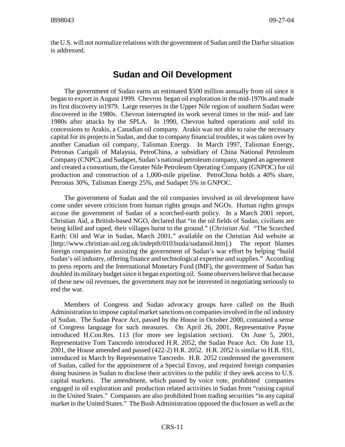the U.S. will not normalize relations with the government of Sudan until the Darfur situation is addressed.

# **Sudan and Oil Development**

The government of Sudan earns an estimated \$500 million annually from oil since it began to export in August 1999. Chevron began oil exploration in the mid-1970s and made its first discovery in1979. Large reserves in the Upper Nile region of southern Sudan were discovered in the 1980s. Chevron interrupted its work several times in the mid- and late 1980s after attacks by the SPLA. In 1990, Chevron halted operations and sold its concessions to Arakis, a Canadian oil company. Arakis was not able to raise the necessary capital for its projects in Sudan, and due to company financial troubles, it was taken over by another Canadian oil company, Talisman Energy. In March 1997, Talisman Energy, Petronas Carigali of Malaysia, PetroChina, a subsidiary of China National Petroleum Company (CNPC), and Sudapet, Sudan's national petroleum company, signed an agreement and created a consortium, the Greater Nile Petroleum Operating Company (GNPOC) for oil production and construction of a 1,000-mile pipeline. PetroChina holds a 40% share, Petronas 30%, Talisman Energy 25%, and Sudapet 5% in GNPOC.

The government of Sudan and the oil companies involved in oil development have come under severe criticism from human rights groups and NGOs. Human rights groups accuse the government of Sudan of a scorched-earth policy. In a March 2001 report, Christian Aid, a British-based NGO, declared that "in the oil fields of Sudan, civilians are being killed and raped, their villages burnt to the ground." (*Christian Aid*. "The Scorched Earth: Oil and War in Sudan, March 2001," available on the Christian Aid website at [http://www.christian-aid.org.uk/indepth/0103suda/sudanoil.htm].) The report blames foreign companies for assisting the government of Sudan's war effort by helping "build Sudan's oil industry, offering finance and technological expertise and supplies." According to press reports and the International Monetary Fund (IMF), the government of Sudan has doubled its military budget since it began exporting oil. Some observers believe that because of these new oil revenues, the government may not be interested in negotiating seriously to end the war.

Members of Congress and Sudan advocacy groups have called on the Bush Administration to impose capital market sanctions on companies involved in the oil industry of Sudan. The Sudan Peace Act, passed by the House in October 2000, contained a sense of Congress language for such measures. On April 26, 2001, Representative Payne introduced H.Con.Res. 113 (for more see legislation section). On June 5, 2001, Representative Tom Tancredo introduced H.R. 2052, the Sudan Peace Act. On June 13, 2001, the House amended and passed (422-2) H.R. 2052. H.R. 2052 is similar to H.R. 931, introduced in March by Representative Tancredo. H.R. 2052 condemned the government of Sudan, called for the appointment of a Special Envoy, and required foreign companies doing business in Sudan to disclose their activities to the public if they seek access to U.S. capital markets. The amendment, which passed by voice vote, prohibited companies engaged in oil exploration and production related activities in Sudan from "raising capital in the United States." Companies are also prohibited from trading securities "in any capital market in the United States." The Bush Administration opposed the disclosure as well as the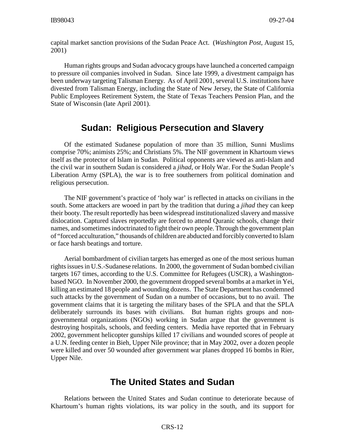capital market sanction provisions of the Sudan Peace Act. (*Washington Post*, August 15, 2001)

Human rights groups and Sudan advocacy groups have launched a concerted campaign to pressure oil companies involved in Sudan. Since late 1999, a divestment campaign has been underway targeting Talisman Energy. As of April 2001, several U.S. institutions have divested from Talisman Energy, including the State of New Jersey, the State of California Public Employees Retirement System, the State of Texas Teachers Pension Plan, and the State of Wisconsin (late April 2001).

# **Sudan: Religious Persecution and Slavery**

Of the estimated Sudanese population of more than 35 million, Sunni Muslims comprise 70%; animists 25%; and Christians 5%. The NIF government in Khartoum views itself as the protector of Islam in Sudan. Political opponents are viewed as anti-Islam and the civil war in southern Sudan is considered a *jihad*, or Holy War. For the Sudan People's Liberation Army (SPLA), the war is to free southerners from political domination and religious persecution.

The NIF government's practice of 'holy war' is reflected in attacks on civilians in the south. Some attackers are wooed in part by the tradition that during a *jihad* they can keep their booty. The result reportedly has been widespread institutionalized slavery and massive dislocation. Captured slaves reportedly are forced to attend Quranic schools, change their names, and sometimes indoctrinated to fight their own people. Through the government plan of "forced acculturation," thousands of children are abducted and forcibly converted to Islam or face harsh beatings and torture.

Aerial bombardment of civilian targets has emerged as one of the most serious human rights issues in U.S.-Sudanese relations. In 2000, the government of Sudan bombed civilian targets 167 times, according to the U.S. Committee for Refugees (USCR), a Washingtonbased NGO. In November 2000, the government dropped several bombs at a market in Yei, killing an estimated 18 people and wounding dozens. The State Department has condemned such attacks by the government of Sudan on a number of occasions, but to no avail. The government claims that it is targeting the military bases of the SPLA and that the SPLA deliberately surrounds its bases with civilians. But human rights groups and nongovernmental organizations (NGOs) working in Sudan argue that the government is destroying hospitals, schools, and feeding centers. Media have reported that in February 2002, government helicopter gunships killed 17 civilians and wounded scores of people at a U.N. feeding center in Bieh, Upper Nile province; that in May 2002, over a dozen people were killed and over 50 wounded after government war planes dropped 16 bombs in Rier, Upper Nile.

# **The United States and Sudan**

Relations between the United States and Sudan continue to deteriorate because of Khartoum's human rights violations, its war policy in the south, and its support for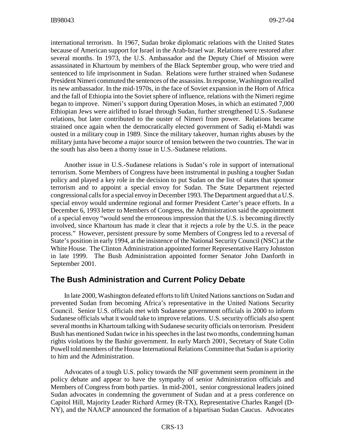international terrorism. In 1967, Sudan broke diplomatic relations with the United States because of American support for Israel in the Arab-Israel war. Relations were restored after several months. In 1973, the U.S. Ambassador and the Deputy Chief of Mission were assassinated in Khartoum by members of the Black September group, who were tried and sentenced to life imprisonment in Sudan. Relations were further strained when Sudanese President Nimeri commuted the sentences of the assassins. In response, Washington recalled its new ambassador. In the mid-1970s, in the face of Soviet expansion in the Horn of Africa and the fall of Ethiopia into the Soviet sphere of influence, relations with the Nimeri regime began to improve. Nimeri's support during Operation Moses, in which an estimated 7,000 Ethiopian Jews were airlifted to Israel through Sudan, further strengthened U.S.-Sudanese relations, but later contributed to the ouster of Nimeri from power. Relations became strained once again when the democratically elected government of Sadiq el-Mahdi was ousted in a military coup in 1989. Since the military takeover, human rights abuses by the military junta have become a major source of tension between the two countries. The war in the south has also been a thorny issue in U.S.-Sudanese relations.

Another issue in U.S.-Sudanese relations is Sudan's role in support of international terrorism. Some Members of Congress have been instrumental in pushing a tougher Sudan policy and played a key role in the decision to put Sudan on the list of states that sponsor terrorism and to appoint a special envoy for Sudan. The State Department rejected congressional calls for a special envoy in December 1993. The Department argued that a U.S. special envoy would undermine regional and former President Carter's peace efforts. In a December 6, 1993 letter to Members of Congress, the Administration said the appointment of a special envoy "would send the erroneous impression that the U.S. is becoming directly involved, since Khartoum has made it clear that it rejects a role by the U.S. in the peace process." However, persistent pressure by some Members of Congress led to a reversal of State's position in early 1994, at the insistence of the National Security Council (NSC) at the White House. The Clinton Administration appointed former Representative Harry Johnston in late 1999. The Bush Administration appointed former Senator John Danforth in September 2001.

### **The Bush Administration and Current Policy Debate**

In late 2000, Washington defeated efforts to lift United Nations sanctions on Sudan and prevented Sudan from becoming Africa's representative in the United Nations Security Council. Senior U.S. officials met with Sudanese government officials in 2000 to inform Sudanese officials what it would take to improve relations. U.S. security officials also spent several months in Khartoum talking with Sudanese security officials on terrorism. President Bush has mentioned Sudan twice in his speeches in the last two months, condemning human rights violations by the Bashir government. In early March 2001, Secretary of State Colin Powell told members of the House International Relations Committee that Sudan is a priority to him and the Administration.

Advocates of a tough U.S. policy towards the NIF government seem prominent in the policy debate and appear to have the sympathy of senior Administration officials and Members of Congress from both parties. In mid-2001, senior congressional leaders joined Sudan advocates in condemning the government of Sudan and at a press conference on Capitol Hill, Majority Leader Richard Armey (R-TX), Representative Charles Rangel (D-NY), and the NAACP announced the formation of a bipartisan Sudan Caucus. Advocates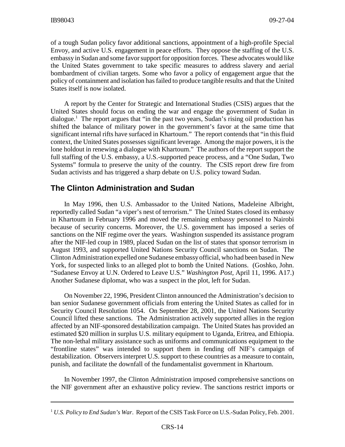of a tough Sudan policy favor additional sanctions, appointment of a high-profile Special Envoy, and active U.S. engagement in peace efforts. They oppose the staffing of the U.S. embassy in Sudan and some favor support for opposition forces. These advocates would like the United States government to take specific measures to address slavery and aerial bombardment of civilian targets. Some who favor a policy of engagement argue that the policy of containment and isolation has failed to produce tangible results and that the United States itself is now isolated.

A report by the Center for Strategic and International Studies (CSIS) argues that the United States should focus on ending the war and engage the government of Sudan in dialogue.<sup>1</sup> The report argues that "in the past two years, Sudan's rising oil production has shifted the balance of military power in the government's favor at the same time that significant internal rifts have surfaced in Khartoum." The report contends that "in this fluid context, the United States possesses significant leverage. Among the major powers, it is the lone holdout in renewing a dialogue with Khartoum." The authors of the report support the full staffing of the U.S. embassy, a U.S.-supported peace process, and a "One Sudan, Two Systems" formula to preserve the unity of the country. The CSIS report drew fire from Sudan activists and has triggered a sharp debate on U.S. policy toward Sudan.

### **The Clinton Administration and Sudan**

In May 1996, then U.S. Ambassador to the United Nations, Madeleine Albright, reportedly called Sudan "a viper's nest of terrorism." The United States closed its embassy in Khartoum in February 1996 and moved the remaining embassy personnel to Nairobi because of security concerns. Moreover, the U.S. government has imposed a series of sanctions on the NIF regime over the years. Washington suspended its assistance program after the NIF-led coup in 1989, placed Sudan on the list of states that sponsor terrorism in August 1993, and supported United Nations Security Council sanctions on Sudan. The Clinton Administration expelled one Sudanese embassy official, who had been based in New York, for suspected links to an alleged plot to bomb the United Nations. (Goshko, John. "Sudanese Envoy at U.N. Ordered to Leave U.S." *Washington Post,* April 11, 1996. A17.) Another Sudanese diplomat, who was a suspect in the plot, left for Sudan.

On November 22, 1996, President Clinton announced the Administration's decision to ban senior Sudanese government officials from entering the United States as called for in Security Council Resolution 1054. On September 28, 2001, the United Nations Security Council lifted these sanctions. The Administration actively supported allies in the region affected by an NIF-sponsored destabilization campaign. The United States has provided an estimated \$20 million in surplus U.S. military equipment to Uganda, Eritrea, and Ethiopia. The non-lethal military assistance such as uniforms and communications equipment to the "frontline states" was intended to support them in fending off NIF's campaign of destabilization. Observers interpret U.S. support to these countries as a measure to contain, punish, and facilitate the downfall of the fundamentalist government in Khartoum.

In November 1997, the Clinton Administration imposed comprehensive sanctions on the NIF government after an exhaustive policy review. The sanctions restrict imports or

<sup>1</sup> *U.S. Policy to End Sudan's War*. Report of the CSIS Task Force on U.S.-Sudan Policy, Feb. 2001.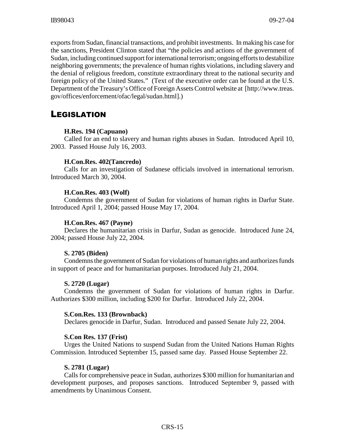exports from Sudan, financial transactions, and prohibit investments. In making his case for the sanctions, President Clinton stated that "the policies and actions of the government of Sudan, including continued support for international terrorism; ongoing efforts to destabilize neighboring governments; the prevalence of human rights violations, including slavery and the denial of religious freedom, constitute extraordinary threat to the national security and foreign policy of the United States." (Text of the executive order can be found at the U.S. Department of the Treasury's Office of Foreign Assets Control website at [http://www.treas. gov/offices/enforcement/ofac/legal/sudan.html].)

# LEGISLATION

### **H.Res. 194 (Capuano)**

Called for an end to slavery and human rights abuses in Sudan. Introduced April 10, 2003. Passed House July 16, 2003.

### **H.Con.Res. 402(Tancredo)**

Calls for an investigation of Sudanese officials involved in international terrorism. Introduced March 30, 2004.

### **H.Con.Res. 403 (Wolf)**

Condemns the government of Sudan for violations of human rights in Darfur State. Introduced April 1, 2004; passed House May 17, 2004.

#### **H.Con.Res. 467 (Payne)**

Declares the humanitarian crisis in Darfur, Sudan as genocide. Introduced June 24, 2004; passed House July 22, 2004.

#### **S. 2705 (Biden)**

Condemns the government of Sudan for violations of human rights and authorizes funds in support of peace and for humanitarian purposes. Introduced July 21, 2004.

#### **S. 2720 (Lugar)**

Condemns the government of Sudan for violations of human rights in Darfur. Authorizes \$300 million, including \$200 for Darfur. Introduced July 22, 2004.

#### **S.Con.Res. 133 (Brownback)**

Declares genocide in Darfur, Sudan. Introduced and passed Senate July 22, 2004.

### **S.Con Res. 137 (Frist)**

Urges the United Nations to suspend Sudan from the United Nations Human Rights Commission. Introduced September 15, passed same day. Passed House September 22.

#### **S. 2781 (Lugar)**

Calls for comprehensive peace in Sudan, authorizes \$300 million for humanitarian and development purposes, and proposes sanctions. Introduced September 9, passed with amendments by Unanimous Consent.